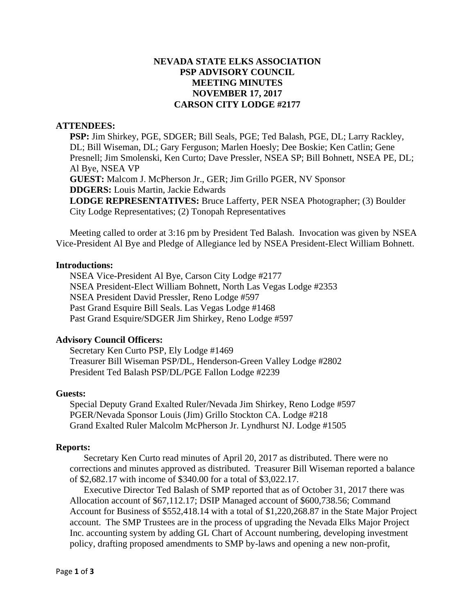# **NEVADA STATE ELKS ASSOCIATION PSP ADVISORY COUNCIL MEETING MINUTES NOVEMBER 17, 2017 CARSON CITY LODGE #2177**

## **ATTENDEES:**

**PSP:** Jim Shirkey, PGE, SDGER; Bill Seals, PGE; Ted Balash, PGE, DL; Larry Rackley, DL; Bill Wiseman, DL; Gary Ferguson; Marlen Hoesly; Dee Boskie; Ken Catlin; Gene Presnell; Jim Smolenski, Ken Curto; Dave Pressler, NSEA SP; Bill Bohnett, NSEA PE, DL; Al Bye, NSEA VP **GUEST:** Malcom J. McPherson Jr., GER; Jim Grillo PGER, NV Sponsor **DDGERS:** Louis Martin, Jackie Edwards **LODGE REPRESENTATIVES:** Bruce Lafferty, PER NSEA Photographer; (3) Boulder City Lodge Representatives; (2) Tonopah Representatives

Meeting called to order at 3:16 pm by President Ted Balash. Invocation was given by NSEA Vice-President Al Bye and Pledge of Allegiance led by NSEA President-Elect William Bohnett.

## **Introductions:**

NSEA Vice-President Al Bye, Carson City Lodge #2177 NSEA President-Elect William Bohnett, North Las Vegas Lodge #2353 NSEA President David Pressler, Reno Lodge #597 Past Grand Esquire Bill Seals. Las Vegas Lodge #1468 Past Grand Esquire/SDGER Jim Shirkey, Reno Lodge #597

## **Advisory Council Officers:**

 Secretary Ken Curto PSP, Ely Lodge #1469 Treasurer Bill Wiseman PSP/DL, Henderson-Green Valley Lodge #2802 President Ted Balash PSP/DL/PGE Fallon Lodge #2239

#### **Guests:**

 Special Deputy Grand Exalted Ruler/Nevada Jim Shirkey, Reno Lodge #597 PGER/Nevada Sponsor Louis (Jim) Grillo Stockton CA. Lodge #218 Grand Exalted Ruler Malcolm McPherson Jr. Lyndhurst NJ. Lodge #1505

#### **Reports:**

Secretary Ken Curto read minutes of April 20, 2017 as distributed. There were no corrections and minutes approved as distributed. Treasurer Bill Wiseman reported a balance of \$2,682.17 with income of \$340.00 for a total of \$3,022.17.

Executive Director Ted Balash of SMP reported that as of October 31, 2017 there was Allocation account of \$67,112.17; DSIP Managed account of \$600,738.56; Command Account for Business of \$552,418.14 with a total of \$1,220,268.87 in the State Major Project account. The SMP Trustees are in the process of upgrading the Nevada Elks Major Project Inc. accounting system by adding GL Chart of Account numbering, developing investment policy, drafting proposed amendments to SMP by-laws and opening a new non-profit,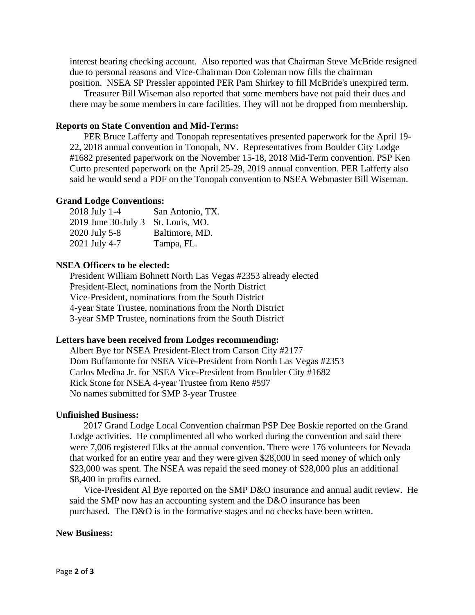interest bearing checking account. Also reported was that Chairman Steve McBride resigned due to personal reasons and Vice-Chairman Don Coleman now fills the chairman position. NSEA SP Pressler appointed PER Pam Shirkey to fill McBride's unexpired term.

Treasurer Bill Wiseman also reported that some members have not paid their dues and there may be some members in care facilities. They will not be dropped from membership.

## **Reports on State Convention and Mid-Terms:**

 PER Bruce Lafferty and Tonopah representatives presented paperwork for the April 19- 22, 2018 annual convention in Tonopah, NV. Representatives from Boulder City Lodge #1682 presented paperwork on the November 15-18, 2018 Mid-Term convention. PSP Ken Curto presented paperwork on the April 25-29, 2019 annual convention. PER Lafferty also said he would send a PDF on the Tonopah convention to NSEA Webmaster Bill Wiseman.

### **Grand Lodge Conventions:**

| 2018 July 1-4       | San Antonio, TX. |
|---------------------|------------------|
| 2019 June 30-July 3 | St. Louis, MO.   |
| 2020 July 5-8       | Baltimore, MD.   |
| 2021 July 4-7       | Tampa, FL.       |

## **NSEA Officers to be elected:**

President William Bohnett North Las Vegas #2353 already elected President-Elect, nominations from the North District Vice-President, nominations from the South District 4-year State Trustee, nominations from the North District 3-year SMP Trustee, nominations from the South District

#### **Letters have been received from Lodges recommending:**

Albert Bye for NSEA President-Elect from Carson City #2177 Dom Buffamonte for NSEA Vice-President from North Las Vegas #2353 Carlos Medina Jr. for NSEA Vice-President from Boulder City #1682 Rick Stone for NSEA 4-year Trustee from Reno #597 No names submitted for SMP 3-year Trustee

## **Unfinished Business:**

2017 Grand Lodge Local Convention chairman PSP Dee Boskie reported on the Grand Lodge activities. He complimented all who worked during the convention and said there were 7,006 registered Elks at the annual convention. There were 176 volunteers for Nevada that worked for an entire year and they were given \$28,000 in seed money of which only \$23,000 was spent. The NSEA was repaid the seed money of \$28,000 plus an additional \$8,400 in profits earned.

Vice-President Al Bye reported on the SMP D&O insurance and annual audit review. He said the SMP now has an accounting system and the D&O insurance has been purchased. The D&O is in the formative stages and no checks have been written.

### **New Business:**